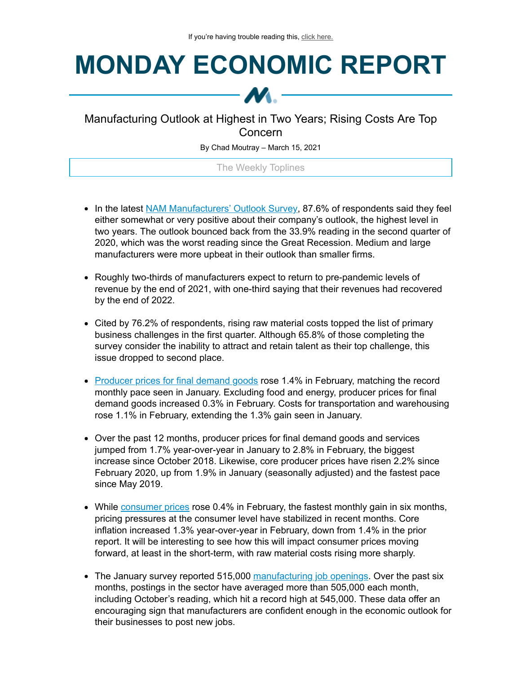## **MONDAY ECONOMIC REPORT**



## Manufacturing Outlook at Highest in Two Years; Rising Costs Are Top Concern

By Chad Moutray – March 15, 2021

The Weekly Toplines

- In the latest NAM [Manufacturers'](https://click.email.nam.org/?qs=cf1462add894476fea37a330c97bcf5427f9fb4956bd28658091575d52dd29807154e8a7360d1708cc0b5dcae6257baa8fc24a0af12774efb5ce85681f92e7c8) Outlook Survey, 87.6% of respondents said they feel either somewhat or very positive about their company's outlook, the highest level in two years. The outlook bounced back from the 33.9% reading in the second quarter of 2020, which was the worst reading since the Great Recession. Medium and large manufacturers were more upbeat in their outlook than smaller firms.
- Roughly two-thirds of manufacturers expect to return to pre-pandemic levels of revenue by the end of 2021, with one-third saying that their revenues had recovered by the end of 2022.
- Cited by 76.2% of respondents, rising raw material costs topped the list of primary business challenges in the first quarter. Although 65.8% of those completing the survey consider the inability to attract and retain talent as their top challenge, this issue dropped to second place.
- [Producer](https://click.email.nam.org/?qs=cf1462add894476f896d3e6d4ae3984f17286dc84781e013cb84c1c80e1df7d736721b5037bf1e667ceea59ad9a9dde4dd6653629b36d1a98aa1753ca4ed6f3e) prices for final demand goods rose 1.4% in February, matching the record monthly pace seen in January. Excluding food and energy, producer prices for final demand goods increased 0.3% in February. Costs for transportation and warehousing rose 1.1% in February, extending the 1.3% gain seen in January.
- Over the past 12 months, producer prices for final demand goods and services jumped from 1.7% year-over-year in January to 2.8% in February, the biggest increase since October 2018. Likewise, core producer prices have risen 2.2% since February 2020, up from 1.9% in January (seasonally adjusted) and the fastest pace since May 2019.
- While [consumer](https://click.email.nam.org/?qs=cf1462add894476f1061966d06519775e8b9ab3cf1faead197ff14d1448b6e270ce948ae1d05344ffcd7ce572d788a0f3286c3eed72081e30604ffac955076cb) prices rose 0.4% in February, the fastest monthly gain in six months, pricing pressures at the consumer level have stabilized in recent months. Core inflation increased 1.3% year-over-year in February, down from 1.4% in the prior report. It will be interesting to see how this will impact consumer prices moving forward, at least in the short-term, with raw material costs rising more sharply.
- The January survey reported 515,000 [manufacturing](https://click.email.nam.org/?qs=cf1462add894476f3a08d2a323a5bcecbcdc44eda8b0c15d6f9a85bd8c981f237d14bd1b536653397b6d3c11634a905b1450aca066645e7cef0ac66c7d4e8bf7) job openings. Over the past six months, postings in the sector have averaged more than 505,000 each month, including October's reading, which hit a record high at 545,000. These data offer an encouraging sign that manufacturers are confident enough in the economic outlook for their businesses to post new jobs.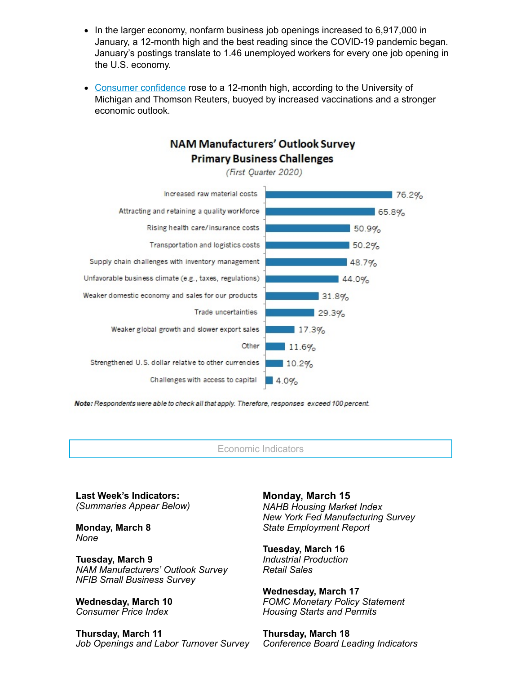- In the larger economy, nonfarm business job openings increased to 6,917,000 in January, a 12-month high and the best reading since the COVID-19 pandemic began. January's postings translate to 1.46 unemployed workers for every one job opening in the U.S. economy.
- Consumer [confidence](https://click.email.nam.org/?qs=cf1462add894476fae75e44db98c6bd2e96f001733657d22941aa94ceeeccf742cf5dccd8be1c9a87b7ab19364a332c70b2577799c34894a47edc25383d6e7f0) rose to a 12-month high, according to the University of Michigan and Thomson Reuters, buoyed by increased vaccinations and a stronger economic outlook.

## **NAM Manufacturers' Outlook Survey Primary Business Challenges**

(First Ouarter 2020)



Note: Respondents were able to check all that apply. Therefore, responses exceed 100 percent.

Economic Indicators

**Last Week's Indicators:** *(Summaries Appear Below)*

**Monday, March 8** *None*

**Tuesday, March 9** *NAM Manufacturers' Outlook Survey NFIB Small Business Survey*

**Wednesday, March 10** *Consumer Price Index*

**Thursday, March 11** *Job Openings and Labor Turnover Survey* **Monday, March 15** *NAHB Housing Market Index New York Fed Manufacturing Survey State Employment Report*

**Tuesday, March 16** *Industrial Production Retail Sales*

**Wednesday, March 17** *FOMC Monetary Policy Statement Housing Starts and Permits*

**Thursday, March 18** *Conference Board Leading Indicators*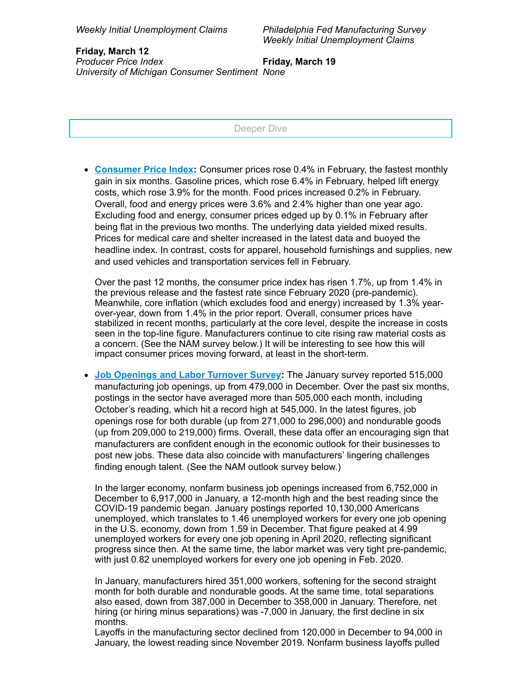*Philadelphia Fed Manufacturing Survey Weekly Initial Unemployment Claims*

**Friday, March 12** *Producer Price Index University of Michigan Consumer Sentiment None* **Friday, March 19**

Deeper Dive

**[Consumer](https://click.email.nam.org/?qs=cf1462add894476f1061966d06519775e8b9ab3cf1faead197ff14d1448b6e270ce948ae1d05344ffcd7ce572d788a0f3286c3eed72081e30604ffac955076cb) Price Index:** Consumer prices rose 0.4% in February, the fastest monthly gain in six months. Gasoline prices, which rose 6.4% in February, helped lift energy costs, which rose 3.9% for the month. Food prices increased 0.2% in February. Overall, food and energy prices were 3.6% and 2.4% higher than one year ago. Excluding food and energy, consumer prices edged up by 0.1% in February after being flat in the previous two months. The underlying data yielded mixed results. Prices for medical care and shelter increased in the latest data and buoyed the headline index. In contrast, costs for apparel, household furnishings and supplies, new and used vehicles and transportation services fell in February.

Over the past 12 months, the consumer price index has risen 1.7%, up from 1.4% in the previous release and the fastest rate since February 2020 (pre-pandemic). Meanwhile, core inflation (which excludes food and energy) increased by 1.3% yearover-year, down from 1.4% in the prior report. Overall, consumer prices have stabilized in recent months, particularly at the core level, despite the increase in costs seen in the top-line figure. Manufacturers continue to cite rising raw material costs as a concern. (See the NAM survey below.) It will be interesting to see how this will impact consumer prices moving forward, at least in the short-term.

**Job [Openings](https://click.email.nam.org/?qs=cf1462add894476f3a08d2a323a5bcecbcdc44eda8b0c15d6f9a85bd8c981f237d14bd1b536653397b6d3c11634a905b1450aca066645e7cef0ac66c7d4e8bf7) and Labor Turnover Survey:** The January survey reported 515,000 manufacturing job openings, up from 479,000 in December. Over the past six months, postings in the sector have averaged more than 505,000 each month, including October's reading, which hit a record high at 545,000. In the latest figures, job openings rose for both durable (up from 271,000 to 296,000) and nondurable goods (up from 209,000 to 219,000) firms. Overall, these data offer an encouraging sign that manufacturers are confident enough in the economic outlook for their businesses to post new jobs. These data also coincide with manufacturers' lingering challenges finding enough talent. (See the NAM outlook survey below.)

In the larger economy, nonfarm business job openings increased from 6,752,000 in December to 6,917,000 in January, a 12-month high and the best reading since the COVID-19 pandemic began. January postings reported 10,130,000 Americans unemployed, which translates to 1.46 unemployed workers for every one job opening in the U.S. economy, down from 1.59 in December. That figure peaked at 4.99 unemployed workers for every one job opening in April 2020, reflecting significant progress since then. At the same time, the labor market was very tight pre-pandemic, with just 0.82 unemployed workers for every one job opening in Feb. 2020.

In January, manufacturers hired 351,000 workers, softening for the second straight month for both durable and nondurable goods. At the same time, total separations also eased, down from 387,000 in December to 358,000 in January. Therefore, net hiring (or hiring minus separations) was -7,000 in January, the first decline in six months.

Layoffs in the manufacturing sector declined from 120,000 in December to 94,000 in January, the lowest reading since November 2019. Nonfarm business layoffs pulled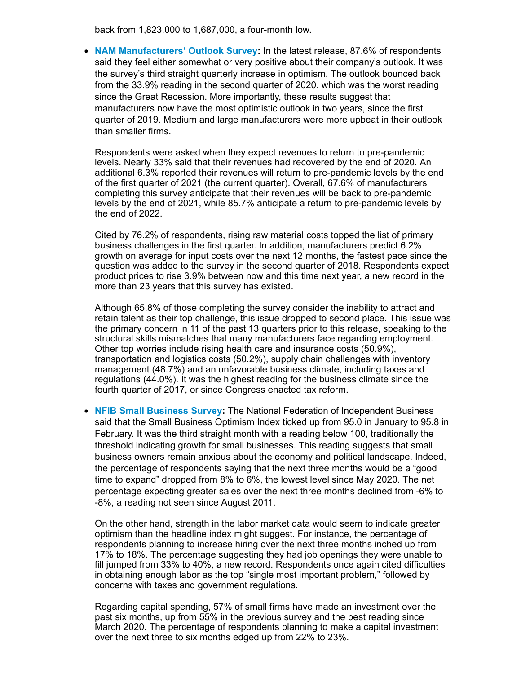back from 1,823,000 to 1,687,000, a four-month low.

**NAM [Manufacturers'](https://click.email.nam.org/?qs=cf1462add894476fea37a330c97bcf5427f9fb4956bd28658091575d52dd29807154e8a7360d1708cc0b5dcae6257baa8fc24a0af12774efb5ce85681f92e7c8) Outlook Survey:** In the latest release, 87.6% of respondents said they feel either somewhat or very positive about their company's outlook. It was the survey's third straight quarterly increase in optimism. The outlook bounced back from the 33.9% reading in the second quarter of 2020, which was the worst reading since the Great Recession. More importantly, these results suggest that manufacturers now have the most optimistic outlook in two years, since the first quarter of 2019. Medium and large manufacturers were more upbeat in their outlook than smaller firms.

Respondents were asked when they expect revenues to return to pre-pandemic levels. Nearly 33% said that their revenues had recovered by the end of 2020. An additional 6.3% reported their revenues will return to pre-pandemic levels by the end of the first quarter of 2021 (the current quarter). Overall, 67.6% of manufacturers completing this survey anticipate that their revenues will be back to pre-pandemic levels by the end of 2021, while 85.7% anticipate a return to pre-pandemic levels by the end of 2022.

Cited by 76.2% of respondents, rising raw material costs topped the list of primary business challenges in the first quarter. In addition, manufacturers predict 6.2% growth on average for input costs over the next 12 months, the fastest pace since the question was added to the survey in the second quarter of 2018. Respondents expect product prices to rise 3.9% between now and this time next year, a new record in the more than 23 years that this survey has existed.

Although 65.8% of those completing the survey consider the inability to attract and retain talent as their top challenge, this issue dropped to second place. This issue was the primary concern in 11 of the past 13 quarters prior to this release, speaking to the structural skills mismatches that many manufacturers face regarding employment. Other top worries include rising health care and insurance costs (50.9%), transportation and logistics costs (50.2%), supply chain challenges with inventory management (48.7%) and an unfavorable business climate, including taxes and regulations (44.0%). It was the highest reading for the business climate since the fourth quarter of 2017, or since Congress enacted tax reform.

**NFIB Small [Business](https://click.email.nam.org/?qs=cf1462add894476f106654a8637a4da2593a59c66365595e6bf54f200adbcd600f0a62bd4602b5691e49c78c5a9c54c9b81ee352ec404676b19963383c37d373) Survey:** The National Federation of Independent Business said that the Small Business Optimism Index ticked up from 95.0 in January to 95.8 in February. It was the third straight month with a reading below 100, traditionally the threshold indicating growth for small businesses. This reading suggests that small business owners remain anxious about the economy and political landscape. Indeed, the percentage of respondents saying that the next three months would be a "good time to expand" dropped from 8% to 6%, the lowest level since May 2020. The net percentage expecting greater sales over the next three months declined from -6% to -8%, a reading not seen since August 2011.

On the other hand, strength in the labor market data would seem to indicate greater optimism than the headline index might suggest. For instance, the percentage of respondents planning to increase hiring over the next three months inched up from 17% to 18%. The percentage suggesting they had job openings they were unable to fill jumped from 33% to 40%, a new record. Respondents once again cited difficulties in obtaining enough labor as the top "single most important problem," followed by concerns with taxes and government regulations.

Regarding capital spending, 57% of small firms have made an investment over the past six months, up from 55% in the previous survey and the best reading since March 2020. The percentage of respondents planning to make a capital investment over the next three to six months edged up from 22% to 23%.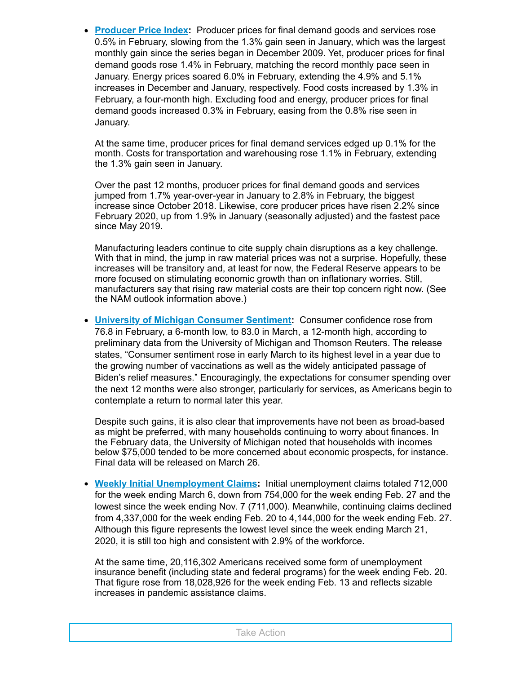**[Producer](https://click.email.nam.org/?qs=cf1462add894476f896d3e6d4ae3984f17286dc84781e013cb84c1c80e1df7d736721b5037bf1e667ceea59ad9a9dde4dd6653629b36d1a98aa1753ca4ed6f3e) Price Index:** Producer prices for final demand goods and services rose 0.5% in February, slowing from the 1.3% gain seen in January, which was the largest monthly gain since the series began in December 2009. Yet, producer prices for final demand goods rose 1.4% in February, matching the record monthly pace seen in January. Energy prices soared 6.0% in February, extending the 4.9% and 5.1% increases in December and January, respectively. Food costs increased by 1.3% in February, a four-month high. Excluding food and energy, producer prices for final demand goods increased 0.3% in February, easing from the 0.8% rise seen in January.

At the same time, producer prices for final demand services edged up 0.1% for the month. Costs for transportation and warehousing rose 1.1% in February, extending the 1.3% gain seen in January.

Over the past 12 months, producer prices for final demand goods and services jumped from 1.7% year-over-year in January to 2.8% in February, the biggest increase since October 2018. Likewise, core producer prices have risen 2.2% since February 2020, up from 1.9% in January (seasonally adjusted) and the fastest pace since May 2019.

Manufacturing leaders continue to cite supply chain disruptions as a key challenge. With that in mind, the jump in raw material prices was not a surprise. Hopefully, these increases will be transitory and, at least for now, the Federal Reserve appears to be more focused on stimulating economic growth than on inflationary worries. Still, manufacturers say that rising raw material costs are their top concern right now. (See the NAM outlook information above.)

**University of Michigan [Consumer](https://click.email.nam.org/?qs=cf1462add894476fae75e44db98c6bd2e96f001733657d22941aa94ceeeccf742cf5dccd8be1c9a87b7ab19364a332c70b2577799c34894a47edc25383d6e7f0) Sentiment:** Consumer confidence rose from 76.8 in February, a 6-month low, to 83.0 in March, a 12-month high, according to preliminary data from the University of Michigan and Thomson Reuters. The release states, "Consumer sentiment rose in early March to its highest level in a year due to the growing number of vaccinations as well as the widely anticipated passage of Biden's relief measures." Encouragingly, the expectations for consumer spending over the next 12 months were also stronger, particularly for services, as Americans begin to contemplate a return to normal later this year.

Despite such gains, it is also clear that improvements have not been as broad-based as might be preferred, with many households continuing to worry about finances. In the February data, the University of Michigan noted that households with incomes below \$75,000 tended to be more concerned about economic prospects, for instance. Final data will be released on March 26.

**Weekly Initial [Unemployment](https://click.email.nam.org/?qs=cf1462add894476f296775a9b4b27f3678665c6b45169120a65efc8278d5c595842f62ddcb3282ddced4c223d0b737179a60fb4cbaa1f857ba4a8ec8a41b46ef) Claims:** Initial unemployment claims totaled 712,000 for the week ending March 6, down from 754,000 for the week ending Feb. 27 and the lowest since the week ending Nov. 7 (711,000). Meanwhile, continuing claims declined from 4,337,000 for the week ending Feb. 20 to 4,144,000 for the week ending Feb. 27. Although this figure represents the lowest level since the week ending March 21, 2020, it is still too high and consistent with 2.9% of the workforce.

At the same time, 20,116,302 Americans received some form of unemployment insurance benefit (including state and federal programs) for the week ending Feb. 20. That figure rose from 18,028,926 for the week ending Feb. 13 and reflects sizable increases in pandemic assistance claims.